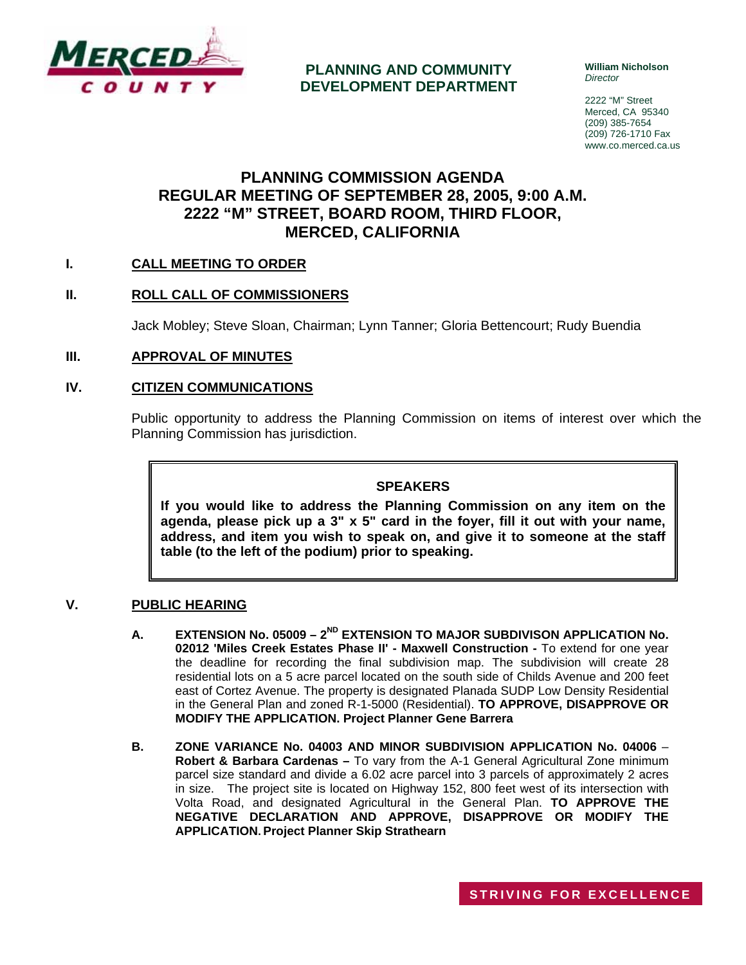

## **PLANNING AND COMMUNITY DEVELOPMENT DEPARTMENT**

**William Nicholson**  *Director* 

2222 "M" Street Merced, CA 95340 (209) 385-7654 (209) 726-1710 Fax www.co.merced.ca.us

## **PLANNING COMMISSION AGENDA REGULAR MEETING OF SEPTEMBER 28, 2005, 9:00 A.M. 2222 "M" STREET, BOARD ROOM, THIRD FLOOR, MERCED, CALIFORNIA**

## **I. CALL MEETING TO ORDER**

#### **II. ROLL CALL OF COMMISSIONERS**

Jack Mobley; Steve Sloan, Chairman; Lynn Tanner; Gloria Bettencourt; Rudy Buendia

#### **III. APPROVAL OF MINUTES**

#### **IV. CITIZEN COMMUNICATIONS**

Public opportunity to address the Planning Commission on items of interest over which the Planning Commission has jurisdiction.

#### **SPEAKERS**

**If you would like to address the Planning Commission on any item on the agenda, please pick up a 3" x 5" card in the foyer, fill it out with your name, address, and item you wish to speak on, and give it to someone at the staff table (to the left of the podium) prior to speaking.**

#### **V. PUBLIC HEARING**

- A. EXTENSION No. 05009 2<sup>ND</sup> EXTENSION TO MAJOR SUBDIVISON APPLICATION No. **02012 'Miles Creek Estates Phase II' - Maxwell Construction -** To extend for one year the deadline for recording the final subdivision map. The subdivision will create 28 residential lots on a 5 acre parcel located on the south side of Childs Avenue and 200 feet east of Cortez Avenue. The property is designated Planada SUDP Low Density Residential in the General Plan and zoned R-1-5000 (Residential). **TO APPROVE, DISAPPROVE OR MODIFY THE APPLICATION. Project Planner Gene Barrera**
- **B. ZONE VARIANCE No. 04003 AND MINOR SUBDIVISION APPLICATION No. 04006 Robert & Barbara Cardenas –** To vary from the A-1 General Agricultural Zone minimum parcel size standard and divide a 6.02 acre parcel into 3 parcels of approximately 2 acres in size. The project site is located on Highway 152, 800 feet west of its intersection with Volta Road, and designated Agricultural in the General Plan. **TO APPROVE THE NEGATIVE DECLARATION AND APPROVE, DISAPPROVE OR MODIFY THE APPLICATION. Project Planner Skip Strathearn**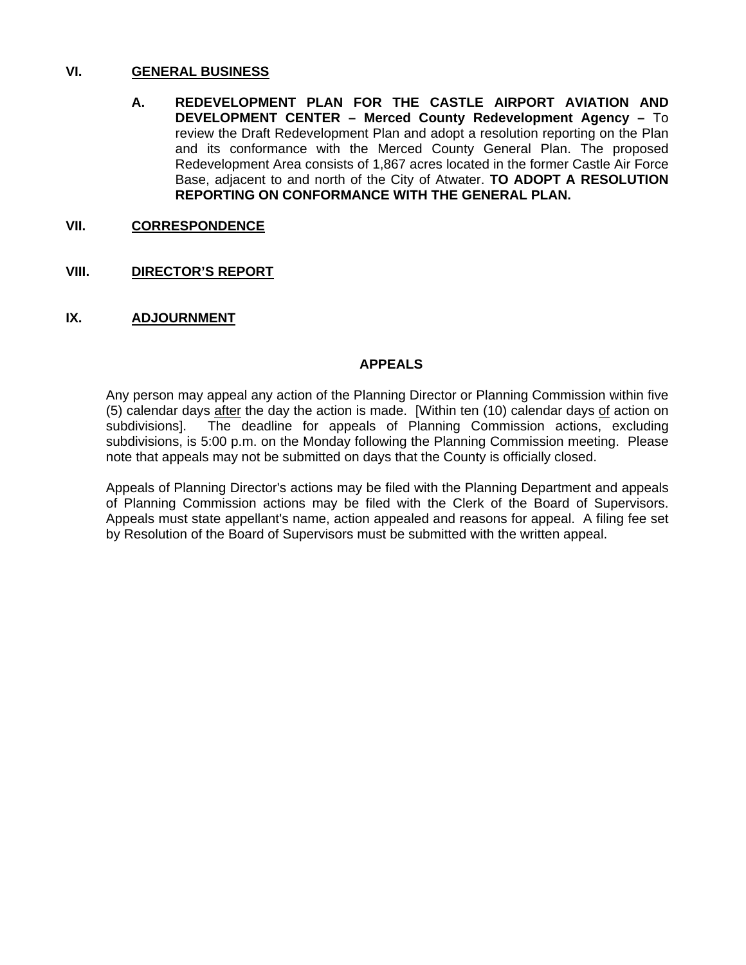#### **VI. GENERAL BUSINESS**

**A. REDEVELOPMENT PLAN FOR THE CASTLE AIRPORT AVIATION AND DEVELOPMENT CENTER – Merced County Redevelopment Agency –** To review the Draft Redevelopment Plan and adopt a resolution reporting on the Plan and its conformance with the Merced County General Plan. The proposed Redevelopment Area consists of 1,867 acres located in the former Castle Air Force Base, adjacent to and north of the City of Atwater. **TO ADOPT A RESOLUTION REPORTING ON CONFORMANCE WITH THE GENERAL PLAN.** 

## **VII. CORRESPONDENCE**

## **VIII. DIRECTOR'S REPORT**

## **IX. ADJOURNMENT**

#### **APPEALS**

Any person may appeal any action of the Planning Director or Planning Commission within five (5) calendar days after the day the action is made. [Within ten (10) calendar days of action on subdivisions]. The deadline for appeals of Planning Commission actions, excluding subdivisions, is 5:00 p.m. on the Monday following the Planning Commission meeting. Please note that appeals may not be submitted on days that the County is officially closed.

Appeals of Planning Director's actions may be filed with the Planning Department and appeals of Planning Commission actions may be filed with the Clerk of the Board of Supervisors. Appeals must state appellant's name, action appealed and reasons for appeal. A filing fee set by Resolution of the Board of Supervisors must be submitted with the written appeal.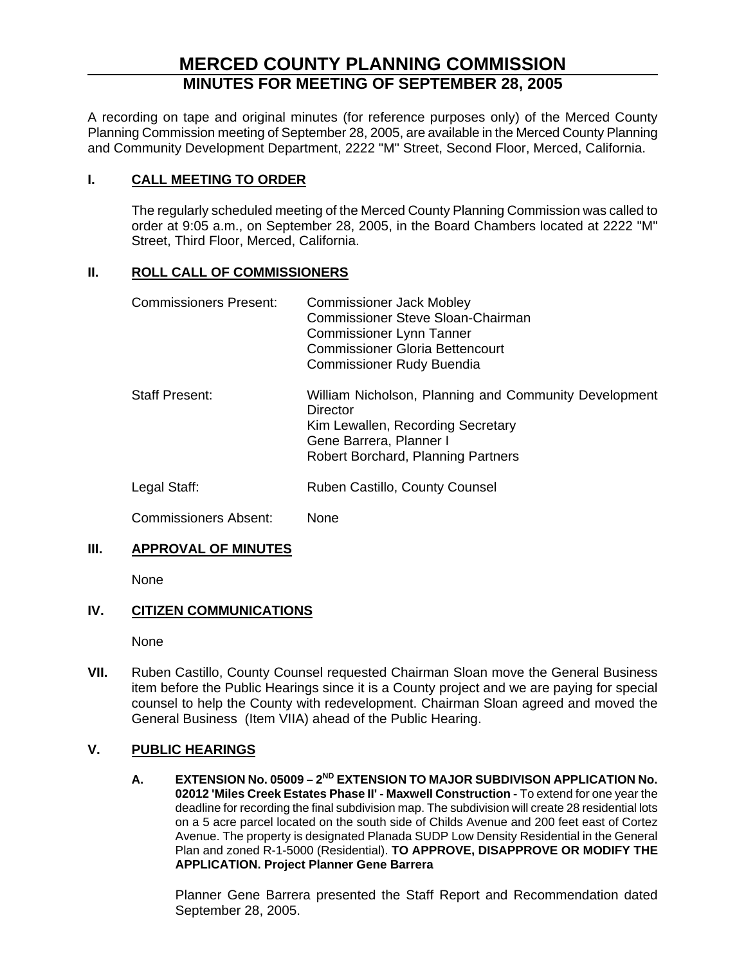# **MERCED COUNTY PLANNING COMMISSION MINUTES FOR MEETING OF SEPTEMBER 28, 2005**

A recording on tape and original minutes (for reference purposes only) of the Merced County Planning Commission meeting of September 28, 2005, are available in the Merced County Planning and Community Development Department, 2222 "M" Street, Second Floor, Merced, California.

## **I. CALL MEETING TO ORDER**

The regularly scheduled meeting of the Merced County Planning Commission was called to order at 9:05 a.m., on September 28, 2005, in the Board Chambers located at 2222 "M" Street, Third Floor, Merced, California.

## **II. ROLL CALL OF COMMISSIONERS**

| <b>Commissioners Present:</b> | <b>Commissioner Jack Mobley</b><br><b>Commissioner Steve Sloan-Chairman</b><br><b>Commissioner Lynn Tanner</b><br><b>Commissioner Gloria Bettencourt</b><br><b>Commissioner Rudy Buendia</b> |
|-------------------------------|----------------------------------------------------------------------------------------------------------------------------------------------------------------------------------------------|
| <b>Staff Present:</b>         | William Nicholson, Planning and Community Development<br>Director<br>Kim Lewallen, Recording Secretary<br>Gene Barrera, Planner I<br>Robert Borchard, Planning Partners                      |
| Legal Staff:                  | Ruben Castillo, County Counsel                                                                                                                                                               |

Commissioners Absent: None

## **III. APPROVAL OF MINUTES**

None

## **IV. CITIZEN COMMUNICATIONS**

None

**VII.** Ruben Castillo, County Counsel requested Chairman Sloan move the General Business item before the Public Hearings since it is a County project and we are paying for special counsel to help the County with redevelopment. Chairman Sloan agreed and moved the General Business (Item VIIA) ahead of the Public Hearing.

## **V. PUBLIC HEARINGS**

**A. EXTENSION No. 05009 – 2ND EXTENSION TO MAJOR SUBDIVISON APPLICATION No. 02012 'Miles Creek Estates Phase II' - Maxwell Construction -** To extend for one year the deadline for recording the final subdivision map. The subdivision will create 28 residential lots on a 5 acre parcel located on the south side of Childs Avenue and 200 feet east of Cortez Avenue. The property is designated Planada SUDP Low Density Residential in the General Plan and zoned R-1-5000 (Residential). **TO APPROVE, DISAPPROVE OR MODIFY THE APPLICATION. Project Planner Gene Barrera** 

Planner Gene Barrera presented the Staff Report and Recommendation dated September 28, 2005.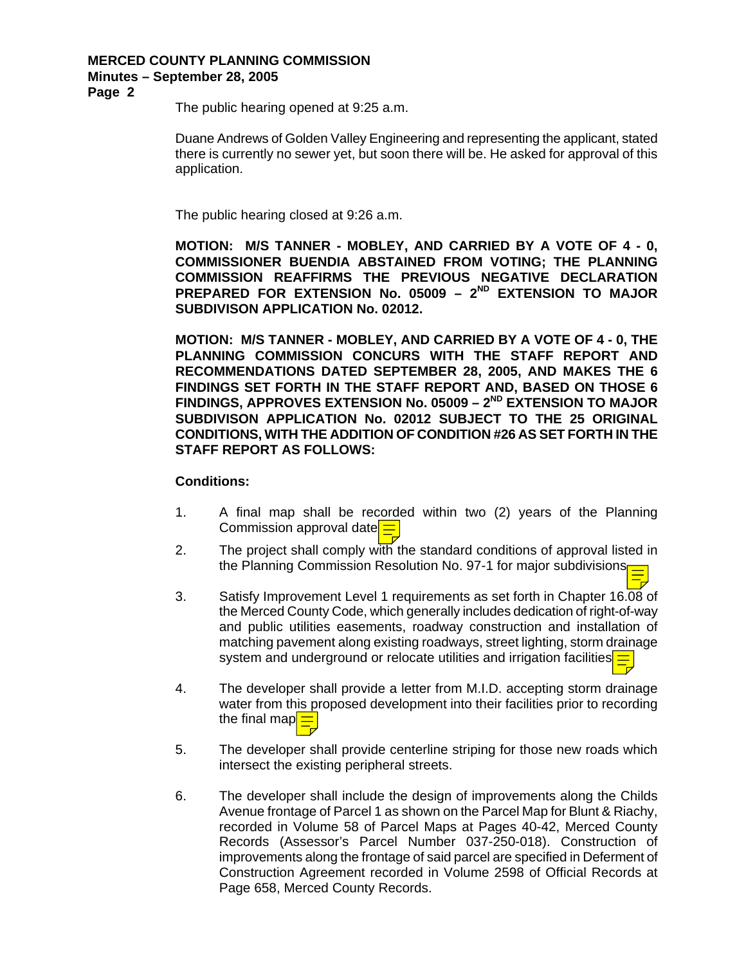**Page 2** 

The public hearing opened at 9:25 a.m.

Duane Andrews of Golden Valley Engineering and representing the applicant, stated there is currently no sewer yet, but soon there will be. He asked for approval of this application.

The public hearing closed at 9:26 a.m.

**MOTION: M/S TANNER - MOBLEY, AND CARRIED BY A VOTE OF 4 - 0, COMMISSIONER BUENDIA ABSTAINED FROM VOTING; THE PLANNING COMMISSION REAFFIRMS THE PREVIOUS NEGATIVE DECLARATION**  PREPARED FOR EXTENSION No. 05009 - 2<sup>ND</sup> EXTENSION TO MAJOR **SUBDIVISON APPLICATION No. 02012.** 

**MOTION: M/S TANNER - MOBLEY, AND CARRIED BY A VOTE OF 4 - 0, THE PLANNING COMMISSION CONCURS WITH THE STAFF REPORT AND RECOMMENDATIONS DATED SEPTEMBER 28, 2005, AND MAKES THE 6 FINDINGS SET FORTH IN THE STAFF REPORT AND, BASED ON THOSE 6**  FINDINGS, APPROVES EXTENSION No. 05009 - 2<sup>ND</sup> EXTENSION TO MAJOR **SUBDIVISON APPLICATION No. 02012 SUBJECT TO THE 25 ORIGINAL CONDITIONS, WITH THE ADDITION OF CONDITION #26 AS SET FORTH IN THE STAFF REPORT AS FOLLOWS:** 

#### **Conditions:**

- 1. A final map shall be recorded within two (2) years of the Planning Commission approval date
- 2. The project shall comply with the standard conditions of approval listed in the Planning Commission Resolution No. 97-1 for major subdivisions
- 3. Satisfy Improvement Level 1 requirements as set forth in Chapter 16.08 of the Merced County Code, which generally includes dedication of right-of-way and public utilities easements, roadway construction and installation of matching pavement along existing roadways, street lighting, storm drainage system and underground or relocate utilities and irrigation facilities.
- 4. The developer shall provide a letter from M.I.D. accepting storm drainage water from this proposed development into their facilities prior to recording the final map
- 5. The developer shall provide centerline striping for those new roads which intersect the existing peripheral streets.
- 6. The developer shall include the design of improvements along the Childs Avenue frontage of Parcel 1 as shown on the Parcel Map for Blunt & Riachy, recorded in Volume 58 of Parcel Maps at Pages 40-42, Merced County Records (Assessor's Parcel Number 037-250-018). Construction of improvements along the frontage of said parcel are specified in Deferment of Construction Agreement recorded in Volume 2598 of Official Records at Page 658, Merced County Records.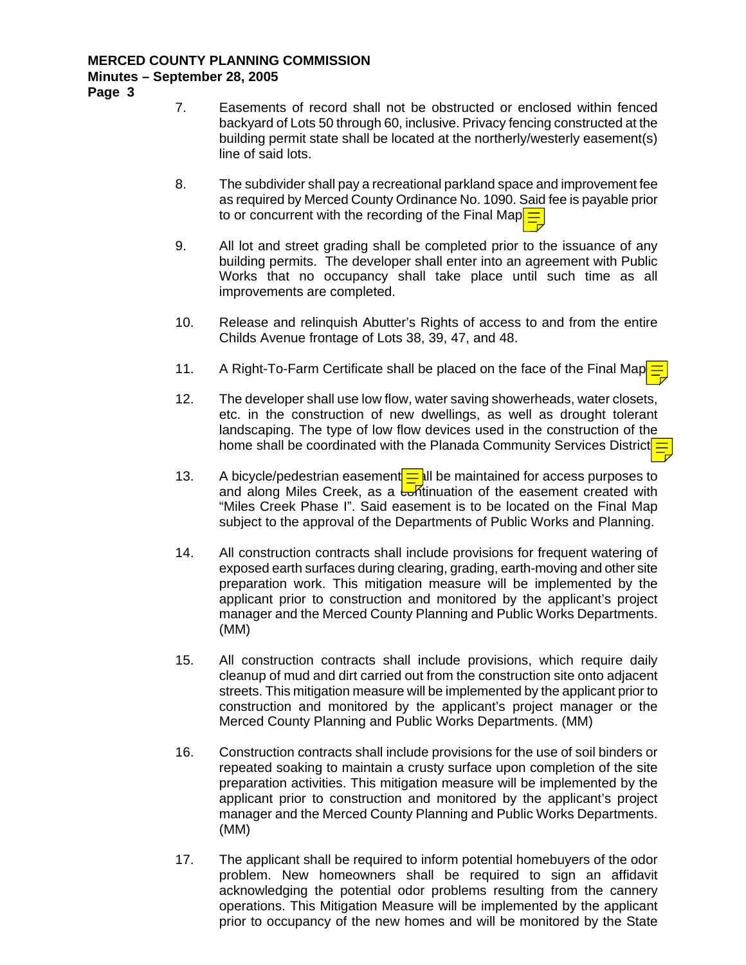**Page 3** 

- 7. Easements of record shall not be obstructed or enclosed within fenced backyard of Lots 50 through 60, inclusive. Privacy fencing constructed at the building permit state shall be located at the northerly/westerly easement(s) line of said lots.
- 8. The subdivider shall pay a recreational parkland space and improvement fee as required by Merced County Ordinance No. 1090. Said fee is payable prior to or concurrent with the recording of the Final Map $\equiv$
- 9. All lot and street grading shall be completed prior to the issuance of any building permits. The developer shall enter into an agreement with Public Works that no occupancy shall take place until such time as all improvements are completed.
- 10. Release and relinquish Abutter's Rights of access to and from the entire Childs Avenue frontage of Lots 38, 39, 47, and 48.
- 11. A Right-To-Farm Certificate shall be placed on the face of the Final Map
- 12. The developer shall use low flow, water saving showerheads, water closets, etc. in the construction of new dwellings, as well as drought tolerant landscaping. The type of low flow devices used in the construction of the home shall be coordinated with the Planada Community Services District.
- 13. A bicycle/pedestrian easement  $=$  all be maintained for access purposes to and along Miles Creek, as a  $\frac{1}{2}$  and the easement created with "Miles Creek Phase I". Said easement is to be located on the Final Map subject to the approval of the Departments of Public Works and Planning.
- 14. All construction contracts shall include provisions for frequent watering of exposed earth surfaces during clearing, grading, earth-moving and other site preparation work. This mitigation measure will be implemented by the applicant prior to construction and monitored by the applicant's project manager and the Merced County Planning and Public Works Departments. (MM)
- 15. All construction contracts shall include provisions, which require daily cleanup of mud and dirt carried out from the construction site onto adjacent streets. This mitigation measure will be implemented by the applicant prior to construction and monitored by the applicant's project manager or the Merced County Planning and Public Works Departments. (MM)
- 16. Construction contracts shall include provisions for the use of soil binders or repeated soaking to maintain a crusty surface upon completion of the site preparation activities. This mitigation measure will be implemented by the applicant prior to construction and monitored by the applicant's project manager and the Merced County Planning and Public Works Departments. (MM)
- 17. The applicant shall be required to inform potential homebuyers of the odor problem. New homeowners shall be required to sign an affidavit acknowledging the potential odor problems resulting from the cannery operations. This Mitigation Measure will be implemented by the applicant prior to occupancy of the new homes and will be monitored by the State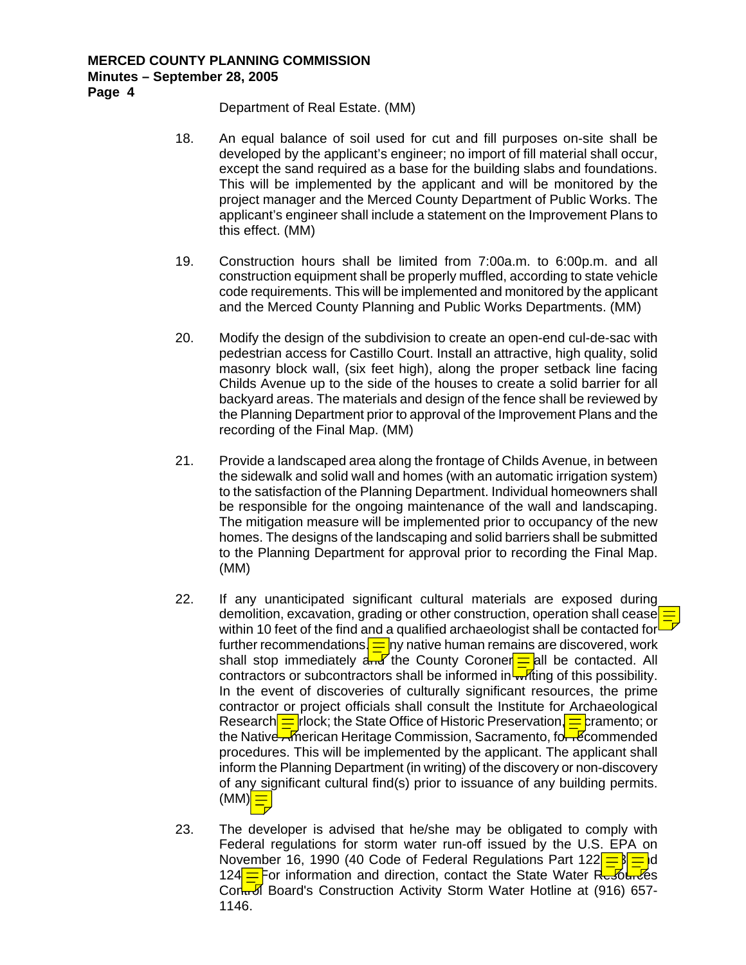**Page 4** 

Department of Real Estate. (MM)

- 18. An equal balance of soil used for cut and fill purposes on-site shall be developed by the applicant's engineer; no import of fill material shall occur, except the sand required as a base for the building slabs and foundations. This will be implemented by the applicant and will be monitored by the project manager and the Merced County Department of Public Works. The applicant's engineer shall include a statement on the Improvement Plans to this effect. (MM)
- 19. Construction hours shall be limited from 7:00a.m. to 6:00p.m. and all construction equipment shall be properly muffled, according to state vehicle code requirements. This will be implemented and monitored by the applicant and the Merced County Planning and Public Works Departments. (MM)
- 20. Modify the design of the subdivision to create an open-end cul-de-sac with pedestrian access for Castillo Court. Install an attractive, high quality, solid masonry block wall, (six feet high), along the proper setback line facing Childs Avenue up to the side of the houses to create a solid barrier for all backyard areas. The materials and design of the fence shall be reviewed by the Planning Department prior to approval of the Improvement Plans and the recording of the Final Map. (MM)
- 21. Provide a landscaped area along the frontage of Childs Avenue, in between the sidewalk and solid wall and homes (with an automatic irrigation system) to the satisfaction of the Planning Department. Individual homeowners shall be responsible for the ongoing maintenance of the wall and landscaping. The mitigation measure will be implemented prior to occupancy of the new homes. The designs of the landscaping and solid barriers shall be submitted to the Planning Department for approval prior to recording the Final Map. (MM)
- 22. If any unanticipated significant cultural materials are exposed during demolition, excavation, grading or other construction, operation shall cease within 10 feet of the find and a qualified archaeologist shall be contacted for further recommendations.  $\equiv$  ny native human remains are discovered, work shall stop immediately  $\frac{1}{4\pi\sqrt{2}}$  the County Coroner  $\frac{1}{\sqrt{2}}$  all be contacted. All contractors or subcontractors shall be informed in writing of this possibility. In the event of discoveries of culturally significant resources, the prime contractor or project officials shall consult the Institute for Archaeological Research  $=$  rlock; the State Office of Historic Preservation,  $=$  cramento; or the Native American Heritage Commission, Sacramento, for Recommended procedures. This will be implemented by the applicant. The applicant shall inform the Planning Department (in writing) of the discovery or non-discovery of any significant cultural find(s) prior to issuance of any building permits.  $(MM)$
- 23. The developer is advised that he/she may be obligated to comply with Federal regulations for storm water run-off issued by the U.S. EPA on November 16, 1990 (40 Code of Federal Regulations Part 122 $\frac{1}{s}$ 124 $\equiv$ For information and direction, contact the State Water Resources Cor<sub>tu</sub> Board's Construction Activity Storm Water Hotline at (916) 657-1146.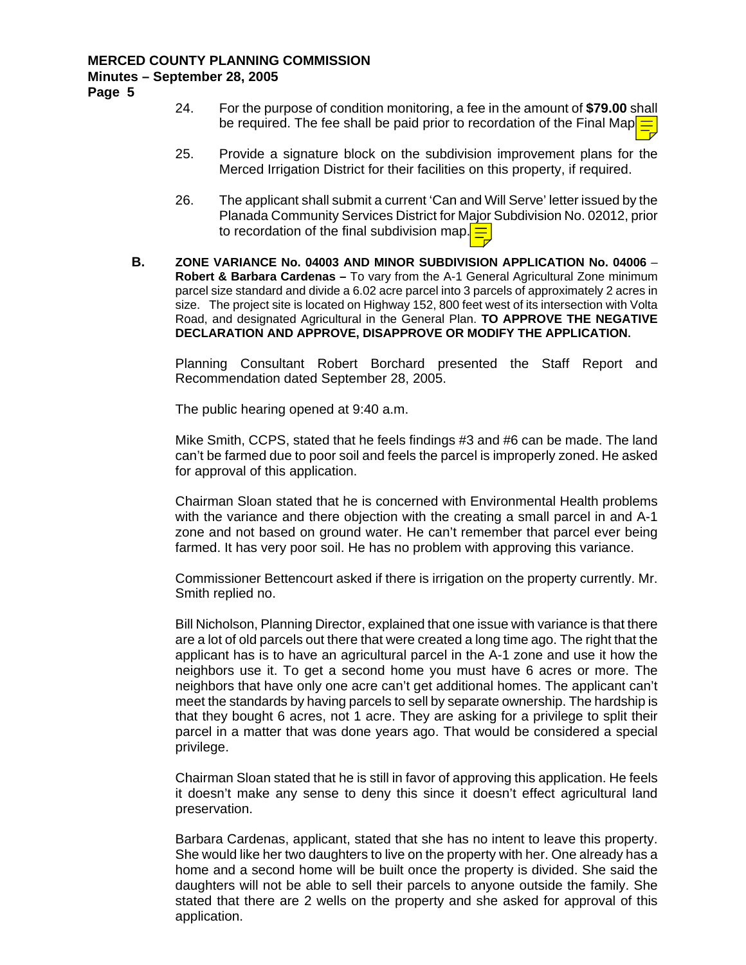**Page 5** 

- 24. For the purpose of condition monitoring, a fee in the amount of **\$79.00** shall be required. The fee shall be paid prior to recordation of the Final Map
- 25. Provide a signature block on the subdivision improvement plans for the Merced Irrigation District for their facilities on this property, if required.
- 26. The applicant shall submit a current 'Can and Will Serve' letter issued by the Planada Community Services District for Major Subdivision No. 02012, prior to recordation of the final subdivision map.
- **B. ZONE VARIANCE No. 04003 AND MINOR SUBDIVISION APPLICATION No. 04006 Robert & Barbara Cardenas –** To vary from the A-1 General Agricultural Zone minimum parcel size standard and divide a 6.02 acre parcel into 3 parcels of approximately 2 acres in size. The project site is located on Highway 152, 800 feet west of its intersection with Volta Road, and designated Agricultural in the General Plan. **TO APPROVE THE NEGATIVE DECLARATION AND APPROVE, DISAPPROVE OR MODIFY THE APPLICATION.**

Planning Consultant Robert Borchard presented the Staff Report and Recommendation dated September 28, 2005.

The public hearing opened at 9:40 a.m.

Mike Smith, CCPS, stated that he feels findings #3 and #6 can be made. The land can't be farmed due to poor soil and feels the parcel is improperly zoned. He asked for approval of this application.

Chairman Sloan stated that he is concerned with Environmental Health problems with the variance and there objection with the creating a small parcel in and A-1 zone and not based on ground water. He can't remember that parcel ever being farmed. It has very poor soil. He has no problem with approving this variance.

Commissioner Bettencourt asked if there is irrigation on the property currently. Mr. Smith replied no.

Bill Nicholson, Planning Director, explained that one issue with variance is that there are a lot of old parcels out there that were created a long time ago. The right that the applicant has is to have an agricultural parcel in the A-1 zone and use it how the neighbors use it. To get a second home you must have 6 acres or more. The neighbors that have only one acre can't get additional homes. The applicant can't meet the standards by having parcels to sell by separate ownership. The hardship is that they bought 6 acres, not 1 acre. They are asking for a privilege to split their parcel in a matter that was done years ago. That would be considered a special privilege.

Chairman Sloan stated that he is still in favor of approving this application. He feels it doesn't make any sense to deny this since it doesn't effect agricultural land preservation.

Barbara Cardenas, applicant, stated that she has no intent to leave this property. She would like her two daughters to live on the property with her. One already has a home and a second home will be built once the property is divided. She said the daughters will not be able to sell their parcels to anyone outside the family. She stated that there are 2 wells on the property and she asked for approval of this application.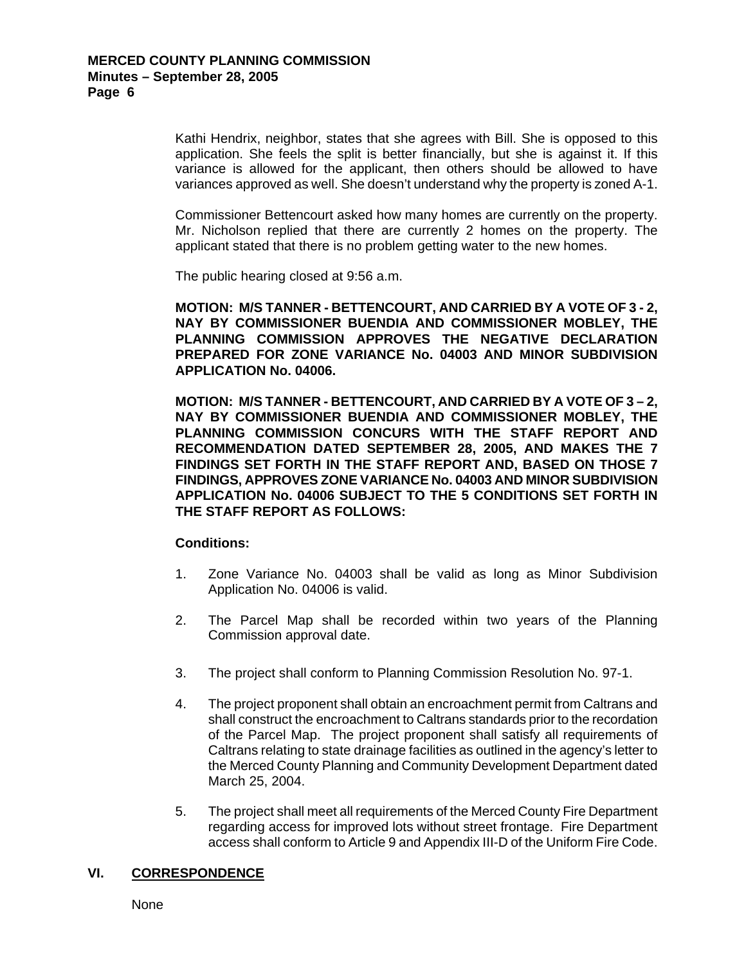Kathi Hendrix, neighbor, states that she agrees with Bill. She is opposed to this application. She feels the split is better financially, but she is against it. If this variance is allowed for the applicant, then others should be allowed to have variances approved as well. She doesn't understand why the property is zoned A-1.

Commissioner Bettencourt asked how many homes are currently on the property. Mr. Nicholson replied that there are currently 2 homes on the property. The applicant stated that there is no problem getting water to the new homes.

The public hearing closed at 9:56 a.m.

**MOTION: M/S TANNER - BETTENCOURT, AND CARRIED BY A VOTE OF 3 - 2, NAY BY COMMISSIONER BUENDIA AND COMMISSIONER MOBLEY, THE PLANNING COMMISSION APPROVES THE NEGATIVE DECLARATION PREPARED FOR ZONE VARIANCE No. 04003 AND MINOR SUBDIVISION APPLICATION No. 04006.** 

**MOTION: M/S TANNER - BETTENCOURT, AND CARRIED BY A VOTE OF 3 – 2, NAY BY COMMISSIONER BUENDIA AND COMMISSIONER MOBLEY, THE PLANNING COMMISSION CONCURS WITH THE STAFF REPORT AND RECOMMENDATION DATED SEPTEMBER 28, 2005, AND MAKES THE 7 FINDINGS SET FORTH IN THE STAFF REPORT AND, BASED ON THOSE 7 FINDINGS, APPROVES ZONE VARIANCE No. 04003 AND MINOR SUBDIVISION APPLICATION No. 04006 SUBJECT TO THE 5 CONDITIONS SET FORTH IN THE STAFF REPORT AS FOLLOWS:** 

#### **Conditions:**

- 1. Zone Variance No. 04003 shall be valid as long as Minor Subdivision Application No. 04006 is valid.
- 2. The Parcel Map shall be recorded within two years of the Planning Commission approval date.
- 3. The project shall conform to Planning Commission Resolution No. 97-1.
- 4. The project proponent shall obtain an encroachment permit from Caltrans and shall construct the encroachment to Caltrans standards prior to the recordation of the Parcel Map. The project proponent shall satisfy all requirements of Caltrans relating to state drainage facilities as outlined in the agency's letter to the Merced County Planning and Community Development Department dated March 25, 2004.
- 5. The project shall meet all requirements of the Merced County Fire Department regarding access for improved lots without street frontage. Fire Department access shall conform to Article 9 and Appendix III-D of the Uniform Fire Code.

#### **VI. CORRESPONDENCE**

None